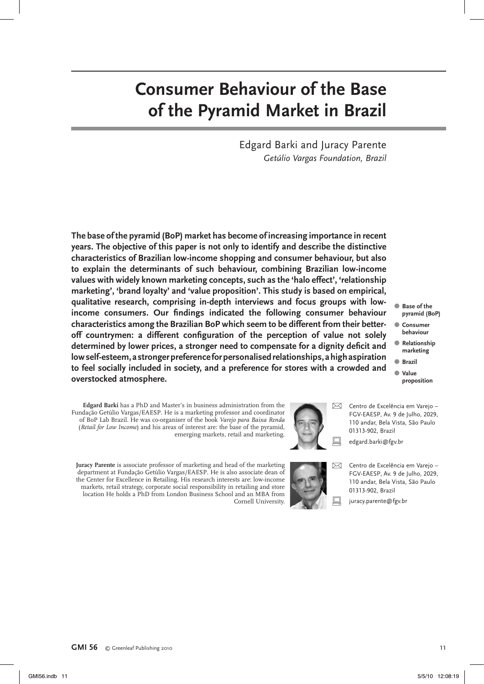#### (*Retail for Low Income*) and his areas of interest are: the base of the pyramid, emerging markets, retail and marketing.

**Edgard Barki** has a PhD and Master's in business administration from the Fundação Getúlio Vargas/EAESP. He is a marketing professor and coordinator of BoP Lab Brazil. He was co-organiser of the book *Varejo para Baixa Renda*

**Juracy Parente** is associate professor of marketing and head of the marketing department at Fundação Getúlio Vargas/EAESP. He is also associate dean of the Center for Excellence in Retailing. His research interests are: low-income markets, retail strategy, corporate social responsibility in retailing and store location He holds a PhD from London Business School and an MBA from Cornell University.

**overstocked atmosphere.**

# **Consumer Behaviour of the Base of the Pyramid Market in Brazil**

**The base of the pyramid (BoP) market has become of increasing importance in recent years. The objective of this paper is not only to identify and describe the distinctive characteristics of Brazilian low-income shopping and consumer behaviour, but also to explain the determinants of such behaviour, combining Brazilian low-income values with widely known marketing concepts, such as the 'halo effect', 'relationship marketing', 'brand loyalty' and 'value proposition'. This study is based on empirical, qualitative research, comprising in-depth interviews and focus groups with lowincome consumers. Our findings indicated the following consumer behaviour characteristics among the Brazilian BoP which seem to be different from their betteroff countrymen: a different configuration of the perception of value not solely determined by lower prices, a stronger need to compensate for a dignity deficit and lowself-esteem,astrongerpreferenceforpersonalisedrelationships,ahighaspiration to feel socially included in society, and a preference for stores with a crowded and**

Edgard Barki and Juracy Parente *Getúlio Vargas Foundation, Brazil*

> O **Base of the pyramid (BoP)**

- O **Consumer behaviour**
- O **Relationship marketing**
- O **Brazil**
	- O **Value proposition**
- Centro de Excelência em Varejo -FGV-EAESP, Av. 9 de Julho, 2029, 110 andar, Bela Vista, São Paulo 01313-902, Brazil
	- edgard.barki@fgv.br
- $\boxtimes$  Centro de Excelência em Varejo FGV-EAESP, Av. 9 de Julho, 2029, 110 andar, Bela Vista, São Paulo 01313-902, Brazil







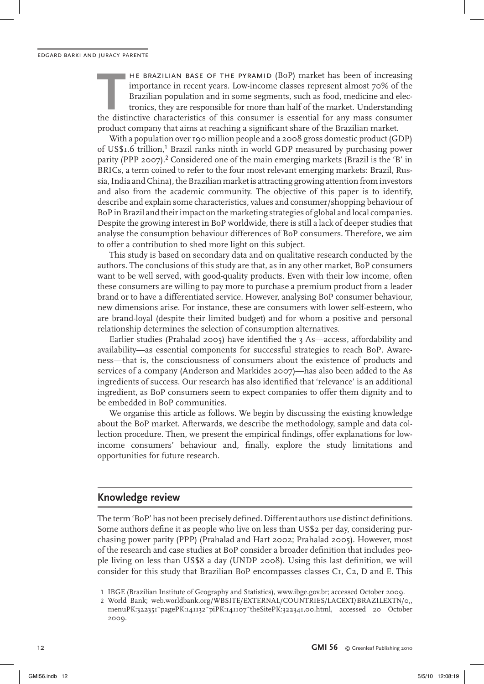**THE BRAZILIAN BASE OF THE PYRAMID (BoP)** market has been of increasing importance in recent years. Low-income classes represent almost 70% of the Brazilian population and in some segments, such as food, medicine and elect importance in recent years. Low-income classes represent almost 70% of the Brazilian population and in some segments, such as food, medicine and electronics, they are responsible for more than half of the market. Understanding product company that aims at reaching a significant share of the Brazilian market.

With a population over 190 million people and a 2008 gross domestic product (GDP) of US\$1.6 trillion,1 Brazil ranks ninth in world GDP measured by purchasing power parity (PPP 2007).<sup>2</sup> Considered one of the main emerging markets (Brazil is the 'B' in BRICs, a term coined to refer to the four most relevant emerging markets: Brazil, Russia, India and China), the Brazilian market is attracting growing attention from investors and also from the academic community. The objective of this paper is to identify, describe and explain some characteristics, values and consumer/shopping behaviour of BoP in Brazil and their impact on the marketing strategies of global and local companies. Despite the growing interest in BoP worldwide, there is still a lack of deeper studies that analyse the consumption behaviour differences of BoP consumers. Therefore, we aim to offer a contribution to shed more light on this subject.

This study is based on secondary data and on qualitative research conducted by the authors. The conclusions of this study are that, as in any other market, BoP consumers want to be well served, with good-quality products. Even with their low income, often these consumers are willing to pay more to purchase a premium product from a leader brand or to have a differentiated service. However, analysing BoP consumer behaviour, new dimensions arise. For instance, these are consumers with lower self-esteem, who are brand-loyal (despite their limited budget) and for whom a positive and personal relationship determines the selection of consumption alternatives.

Earlier studies (Prahalad 2005) have identified the 3 As—access, affordability and availability—as essential components for successful strategies to reach BoP. Awareness—that is, the consciousness of consumers about the existence of products and services of a company (Anderson and Markides 2007)—has also been added to the As ingredients of success. Our research has also identified that 'relevance' is an additional ingredient, as BoP consumers seem to expect companies to offer them dignity and to be embedded in BoP communities.

We organise this article as follows. We begin by discussing the existing knowledge about the BoP market. Afterwards, we describe the methodology, sample and data collection procedure. Then, we present the empirical findings, offer explanations for lowincome consumers' behaviour and, finally, explore the study limitations and opportunities for future research.

#### **Knowledge review**

The term 'BoP' has not been precisely defined. Different authors use distinct definitions. Some authors define it as people who live on less than US\$2 per day, considering purchasing power parity (PPP) (Prahalad and Hart 2002; Prahalad 2005). However, most of the research and case studies at BoP consider a broader definition that includes people living on less than US\$8 a day (UNDP 2008). Using this last definition, we will consider for this study that Brazilian BoP encompasses classes C1, C2, D and E. This

<sup>1</sup> IBGE (Brazilian Institute of Geography and Statistics), www.ibge.gov.br; accessed October 2009.

<sup>2</sup> World Bank; web.worldbank.org/WBSITE/EXTERNAL/COUNTRIES/LACEXT/BRAZILEXTN/0,, menuPK:322351~pagePK:141132~piPK:141107~theSitePK:322341,00.html, accessed 20 October 2009.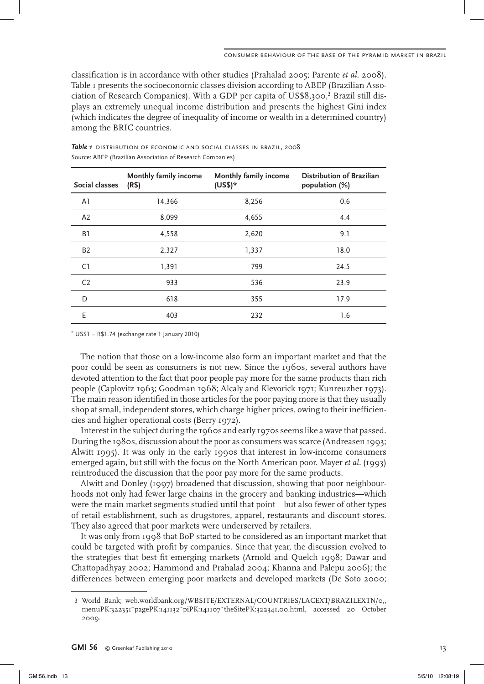classification is in accordance with other studies (Prahalad 2005; Parente *et al*. 2008). Table 1 presents the socioeconomic classes division according to ABEP (Brazilian Association of Research Companies). With a GDP per capita of US\$8,300,<sup>3</sup> Brazil still displays an extremely unequal income distribution and presents the highest Gini index (which indicates the degree of inequality of income or wealth in a determined country) among the BRIC countries.

| Social classes | Monthly family income<br>(R\$) | Monthly family income<br>$(US$)*$ | <b>Distribution of Brazilian</b><br>population (%) |
|----------------|--------------------------------|-----------------------------------|----------------------------------------------------|
| A1             | 14,366                         | 8,256                             | 0.6                                                |
| A2             | 8,099                          | 4,655                             | 4.4                                                |
| B1             | 4,558                          | 2,620                             | 9.1                                                |
| <b>B2</b>      | 2,327                          | 1,337                             | 18.0                                               |
| C <sub>1</sub> | 1,391                          | 799                               | 24.5                                               |
| C <sub>2</sub> | 933                            | 536                               | 23.9                                               |
| D              | 618                            | 355                               | 17.9                                               |
| E              | 403                            | 232                               | 1.6                                                |

*Table 1* distribution of economic and social classes in brazil, 2008 Source: ABEP (Brazilian Association of Research Companies)

 $*$  US\$1 = R\$1.74 (exchange rate 1 January 2010)

The notion that those on a low-income also form an important market and that the poor could be seen as consumers is not new. Since the 1960s, several authors have devoted attention to the fact that poor people pay more for the same products than rich people (Caplovitz 1963; Goodman 1968; Alcaly and Klevorick 1971; Kunreuzher 1973). The main reason identified in those articles for the poor paying more is that they usually shop at small, independent stores, which charge higher prices, owing to their inefficiencies and higher operational costs (Berry 1972).

Interest in the subject during the 1960s and early 1970s seems like a wave that passed. During the 1980s, discussion about the poor as consumers was scarce (Andreasen 1993; Alwitt 1995). It was only in the early 1990s that interest in low-income consumers emerged again, but still with the focus on the North American poor. Mayer *et al*. (1993) reintroduced the discussion that the poor pay more for the same products.

Alwitt and Donley (1997) broadened that discussion, showing that poor neighbourhoods not only had fewer large chains in the grocery and banking industries—which were the main market segments studied until that point—but also fewer of other types of retail establishment, such as drugstores, apparel, restaurants and discount stores. They also agreed that poor markets were underserved by retailers.

It was only from 1998 that BoP started to be considered as an important market that could be targeted with profit by companies. Since that year, the discussion evolved to the strategies that best fit emerging markets (Arnold and Quelch 1998; Dawar and Chattopadhyay 2002; Hammond and Prahalad 2004; Khanna and Palepu 2006); the differences between emerging poor markets and developed markets (De Soto 2000;

<sup>3</sup> World Bank; web.worldbank.org/WBSITE/EXTERNAL/COUNTRIES/LACEXT/BRAZILEXTN/0,, menuPK:322351~pagePK:141132~piPK:141107~theSitePK:322341,00.html, accessed 20 October 2009.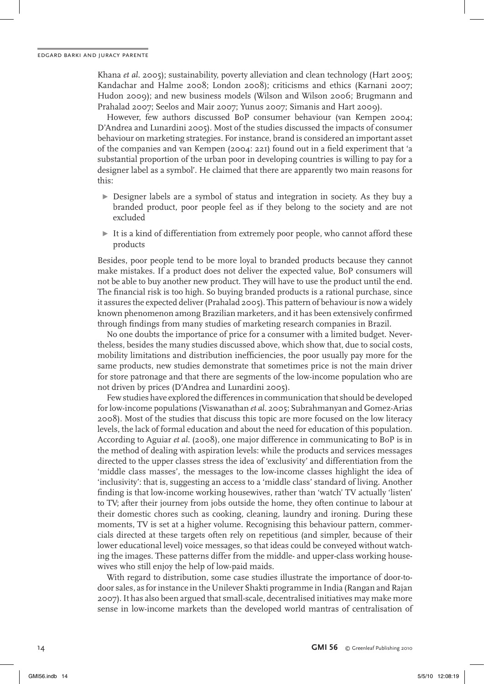Khana *et al*. 2005); sustainability, poverty alleviation and clean technology (Hart 2005; Kandachar and Halme 2008; London 2008); criticisms and ethics (Karnani 2007; Hudon 2009); and new business models (Wilson and Wilson 2006; Brugmann and Prahalad 2007; Seelos and Mair 2007; Yunus 2007; Simanis and Hart 2009).

However, few authors discussed BoP consumer behaviour (van Kempen 2004; D'Andrea and Lunardini 2005). Most of the studies discussed the impacts of consumer behaviour on marketing strategies. For instance, brand is considered an important asset of the companies and van Kempen (2004: 221) found out in a field experiment that 'a substantial proportion of the urban poor in developing countries is willing to pay for a designer label as a symbol'. He claimed that there are apparently two main reasons for this:

- Designer labels are a symbol of status and integration in society. As they buy a branded product, poor people feel as if they belong to the society and are not excluded
- $\blacktriangleright$  It is a kind of differentiation from extremely poor people, who cannot afford these products

Besides, poor people tend to be more loyal to branded products because they cannot make mistakes. If a product does not deliver the expected value, BoP consumers will not be able to buy another new product. They will have to use the product until the end. The financial risk is too high. So buying branded products is a rational purchase, since it assures the expected deliver (Prahalad 2005). This pattern of behaviour is now a widely known phenomenon among Brazilian marketers, and it has been extensively confirmed through findings from many studies of marketing research companies in Brazil.

No one doubts the importance of price for a consumer with a limited budget. Nevertheless, besides the many studies discussed above, which show that, due to social costs, mobility limitations and distribution inefficiencies, the poor usually pay more for the same products, new studies demonstrate that sometimes price is not the main driver for store patronage and that there are segments of the low-income population who are not driven by prices (D'Andrea and Lunardini 2005).

Few studies have explored the differences in communication that should be developed for low-income populations (Viswanathan *et al*. 2005; Subrahmanyan and Gomez-Arias 2008). Most of the studies that discuss this topic are more focused on the low literacy levels, the lack of formal education and about the need for education of this population. According to Aguiar *et al*. (2008), one major difference in communicating to BoP is in the method of dealing with aspiration levels: while the products and services messages directed to the upper classes stress the idea of 'exclusivity' and differentiation from the 'middle class masses', the messages to the low-income classes highlight the idea of 'inclusivity': that is, suggesting an access to a 'middle class' standard of living. Another finding is that low-income working housewives, rather than 'watch' TV actually 'listen' to TV; after their journey from jobs outside the home, they often continue to labour at their domestic chores such as cooking, cleaning, laundry and ironing. During these moments, TV is set at a higher volume. Recognising this behaviour pattern, commercials directed at these targets often rely on repetitious (and simpler, because of their lower educational level) voice messages, so that ideas could be conveyed without watching the images. These patterns differ from the middle- and upper-class working housewives who still enjoy the help of low-paid maids.

With regard to distribution, some case studies illustrate the importance of door-todoor sales, as for instance in the Unilever Shakti programme in India (Rangan and Rajan 2007). It has also been argued that small-scale, decentralised initiatives may make more sense in low-income markets than the developed world mantras of centralisation of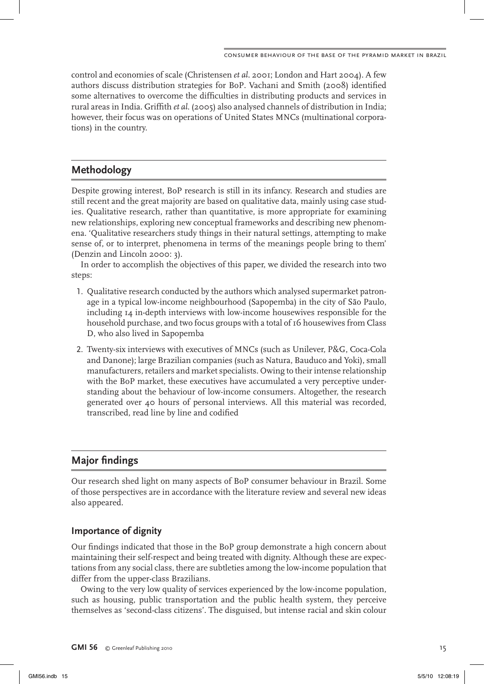control and economies of scale (Christensen *et al*. 2001; London and Hart 2004). A few authors discuss distribution strategies for BoP. Vachani and Smith (2008) identified some alternatives to overcome the difficulties in distributing products and services in rural areas in India. Griffith *et al*. (2005) also analysed channels of distribution in India; however, their focus was on operations of United States MNCs (multinational corporations) in the country.

## **Methodology**

Despite growing interest, BoP research is still in its infancy. Research and studies are still recent and the great majority are based on qualitative data, mainly using case studies. Qualitative research, rather than quantitative, is more appropriate for examining new relationships, exploring new conceptual frameworks and describing new phenomena. 'Qualitative researchers study things in their natural settings, attempting to make sense of, or to interpret, phenomena in terms of the meanings people bring to them' (Denzin and Lincoln 2000: 3).

In order to accomplish the objectives of this paper, we divided the research into two steps:

- 1. Qualitative research conducted by the authors which analysed supermarket patronage in a typical low-income neighbourhood (Sapopemba) in the city of São Paulo, including 14 in-depth interviews with low-income housewives responsible for the household purchase, and two focus groups with a total of 16 housewives from Class D, who also lived in Sapopemba
- 2. Twenty-six interviews with executives of MNCs (such as Unilever, P&G, Coca-Cola and Danone); large Brazilian companies (such as Natura, Bauduco and Yoki), small manufacturers, retailers and market specialists. Owing to their intense relationship with the BoP market, these executives have accumulated a very perceptive understanding about the behaviour of low-income consumers. Altogether, the research generated over 40 hours of personal interviews. All this material was recorded, transcribed, read line by line and codified

## **Major findings**

Our research shed light on many aspects of BoP consumer behaviour in Brazil. Some of those perspectives are in accordance with the literature review and several new ideas also appeared.

### **Importance of dignity**

Our findings indicated that those in the BoP group demonstrate a high concern about maintaining their self-respect and being treated with dignity. Although these are expectations from any social class, there are subtleties among the low-income population that differ from the upper-class Brazilians.

Owing to the very low quality of services experienced by the low-income population, such as housing, public transportation and the public health system, they perceive themselves as 'second-class citizens'. The disguised, but intense racial and skin colour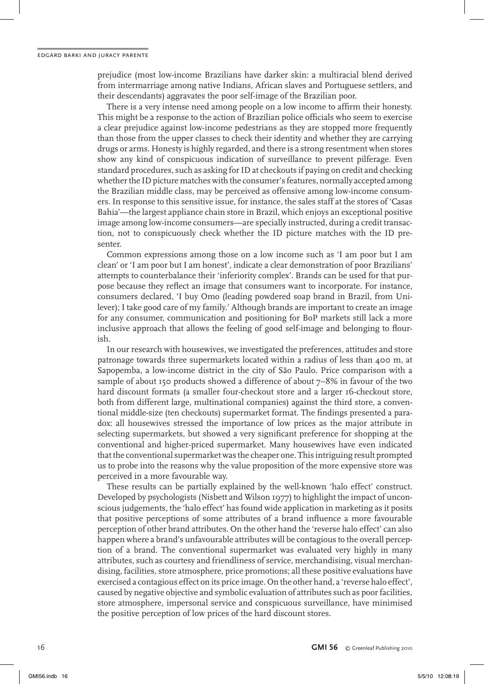prejudice (most low-income Brazilians have darker skin: a multiracial blend derived from intermarriage among native Indians, African slaves and Portuguese settlers, and their descendants) aggravates the poor self-image of the Brazilian poor.

There is a very intense need among people on a low income to affirm their honesty. This might be a response to the action of Brazilian police officials who seem to exercise a clear prejudice against low-income pedestrians as they are stopped more frequently than those from the upper classes to check their identity and whether they are carrying drugs or arms. Honesty is highly regarded, and there is a strong resentment when stores show any kind of conspicuous indication of surveillance to prevent pilferage. Even standard procedures, such as asking for ID at checkouts if paying on credit and checking whether the ID picture matches with the consumer's features, normally accepted among the Brazilian middle class, may be perceived as offensive among low-income consumers. In response to this sensitive issue, for instance, the sales staff at the stores of 'Casas Bahia'—the largest appliance chain store in Brazil, which enjoys an exceptional positive image among low-income consumers—are specially instructed, during a credit transaction, not to conspicuously check whether the ID picture matches with the ID presenter.

Common expressions among those on a low income such as 'I am poor but I am clean' or 'I am poor but I am honest', indicate a clear demonstration of poor Brazilians' attempts to counterbalance their 'inferiority complex'. Brands can be used for that purpose because they reflect an image that consumers want to incorporate. For instance, consumers declared, 'I buy Omo (leading powdered soap brand in Brazil, from Unilever); I take good care of my family.' Although brands are important to create an image for any consumer, communication and positioning for BoP markets still lack a more inclusive approach that allows the feeling of good self-image and belonging to flourish.

In our research with housewives, we investigated the preferences, attitudes and store patronage towards three supermarkets located within a radius of less than 400 m, at Sapopemba, a low-income district in the city of São Paulo. Price comparison with a sample of about 150 products showed a difference of about 7-8% in favour of the two hard discount formats (a smaller four-checkout store and a larger 16-checkout store, both from different large, multinational companies) against the third store, a conventional middle-size (ten checkouts) supermarket format. The findings presented a paradox: all housewives stressed the importance of low prices as the major attribute in selecting supermarkets, but showed a very significant preference for shopping at the conventional and higher-priced supermarket. Many housewives have even indicated that the conventional supermarket was the cheaper one. This intriguing result prompted us to probe into the reasons why the value proposition of the more expensive store was perceived in a more favourable way.

These results can be partially explained by the well-known 'halo effect' construct. Developed by psychologists (Nisbett and Wilson 1977) to highlight the impact of unconscious judgements, the 'halo effect' has found wide application in marketing as it posits that positive perceptions of some attributes of a brand influence a more favourable perception of other brand attributes. On the other hand the 'reverse halo effect' can also happen where a brand's unfavourable attributes will be contagious to the overall perception of a brand. The conventional supermarket was evaluated very highly in many attributes, such as courtesy and friendliness of service, merchandising, visual merchandising, facilities, store atmosphere, price promotions; all these positive evaluations have exercised a contagious effect on its price image. On the other hand, a 'reverse halo effect', caused by negative objective and symbolic evaluation of attributes such as poor facilities, store atmosphere, impersonal service and conspicuous surveillance, have minimised the positive perception of low prices of the hard discount stores.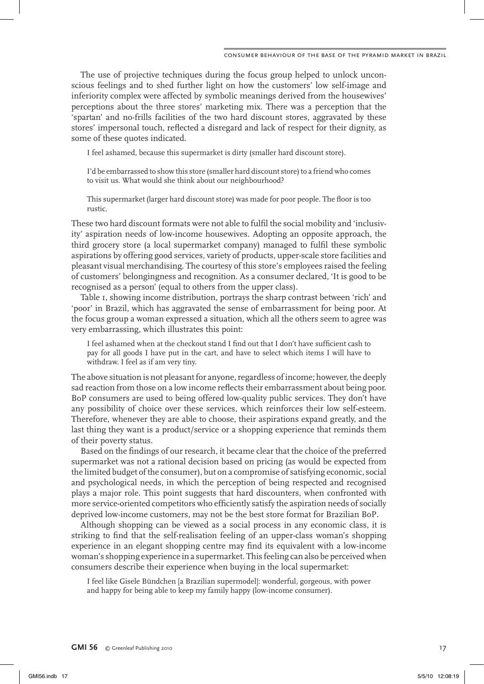The use of projective techniques during the focus group helped to unlock unconscious feelings and to shed further light on how the customers' low self-image and inferiority complex were affected by symbolic meanings derived from the housewives' perceptions about the three stores' marketing mix. There was a perception that the 'spartan' and no-frills facilities of the two hard discount stores, aggravated by these stores' impersonal touch, reflected a disregard and lack of respect for their dignity, as some of these quotes indicated.

I feel ashamed, because this supermarket is dirty (smaller hard discount store).

I'd be embarrassed to show this store (smaller hard discount store) to a friend who comes to visit us. What would she think about our neighbourhood?

This supermarket (larger hard discount store) was made for poor people. The floor is too rustic.

These two hard discount formats were not able to fulfil the social mobility and 'inclusivity' aspiration needs of low-income housewives. Adopting an opposite approach, the third grocery store (a local supermarket company) managed to fulfil these symbolic aspirations by offering good services, variety of products, upper-scale store facilities and pleasant visual merchandising. The courtesy of this store's employees raised the feeling of customers' belongingness and recognition. As a consumer declared, 'It is good to be recognised as a person' (equal to others from the upper class).

Table 1, showing income distribution, portrays the sharp contrast between 'rich' and 'poor' in Brazil, which has aggravated the sense of embarrassment for being poor. At the focus group a woman expressed a situation, which all the others seem to agree was very embarrassing, which illustrates this point:

I feel ashamed when at the checkout stand I find out that I don't have sufficient cash to pay for all goods I have put in the cart, and have to select which items I will have to withdraw. I feel as if am very tiny.

The above situation is not pleasant for anyone, regardless of income; however, the deeply sad reaction from those on a low income reflects their embarrassment about being poor. BoP consumers are used to being offered low-quality public services. They don't have any possibility of choice over these services, which reinforces their low self-esteem. Therefore, whenever they are able to choose, their aspirations expand greatly, and the last thing they want is a product/service or a shopping experience that reminds them of their poverty status.

Based on the findings of our research, it became clear that the choice of the preferred supermarket was not a rational decision based on pricing (as would be expected from the limited budget of the consumer), but on a compromise of satisfying economic, social and psychological needs, in which the perception of being respected and recognised plays a major role. This point suggests that hard discounters, when confronted with more service-oriented competitors who efficiently satisfy the aspiration needs of socially deprived low-income customers, may not be the best store format for Brazilian BoP.

Although shopping can be viewed as a social process in any economic class, it is striking to find that the self-realisation feeling of an upper-class woman's shopping experience in an elegant shopping centre may find its equivalent with a low-income woman's shopping experience in a supermarket. This feeling can also be perceived when consumers describe their experience when buying in the local supermarket:

I feel like Gisele Bündchen [a Brazilian supermodel]: wonderful, gorgeous, with power and happy for being able to keep my family happy (low-income consumer).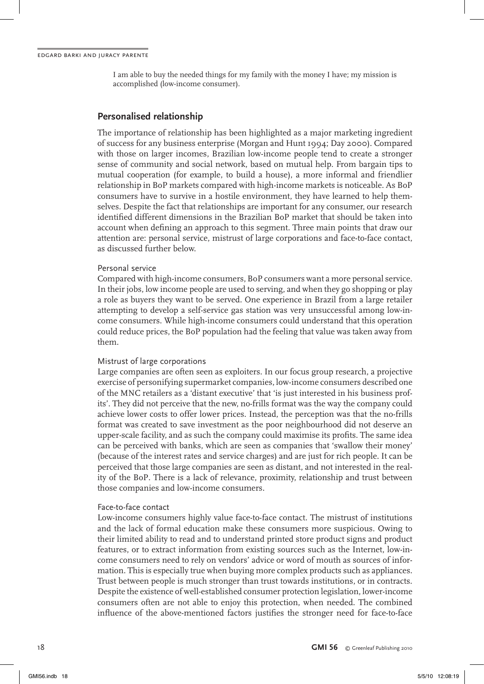I am able to buy the needed things for my family with the money I have; my mission is accomplished (low-income consumer).

#### **Personalised relationship**

The importance of relationship has been highlighted as a major marketing ingredient of success for any business enterprise (Morgan and Hunt 1994; Day 2000). Compared with those on larger incomes, Brazilian low-income people tend to create a stronger sense of community and social network, based on mutual help. From bargain tips to mutual cooperation (for example, to build a house), a more informal and friendlier relationship in BoP markets compared with high-income markets is noticeable. As BoP consumers have to survive in a hostile environment, they have learned to help themselves. Despite the fact that relationships are important for any consumer, our research identified different dimensions in the Brazilian BoP market that should be taken into account when defining an approach to this segment. Three main points that draw our attention are: personal service, mistrust of large corporations and face-to-face contact, as discussed further below.

#### Personal service

Compared with high-income consumers, BoP consumers want a more personal service. In their jobs, low income people are used to serving, and when they go shopping or play a role as buyers they want to be served. One experience in Brazil from a large retailer attempting to develop a self-service gas station was very unsuccessful among low-income consumers. While high-income consumers could understand that this operation could reduce prices, the BoP population had the feeling that value was taken away from them.

#### Mistrust of large corporations

Large companies are often seen as exploiters. In our focus group research, a projective exercise of personifying supermarket companies, low-income consumers described one of the MNC retailers as a 'distant executive' that 'is just interested in his business profits'. They did not perceive that the new, no-frills format was the way the company could achieve lower costs to offer lower prices. Instead, the perception was that the no-frills format was created to save investment as the poor neighbourhood did not deserve an upper-scale facility, and as such the company could maximise its profits. The same idea can be perceived with banks, which are seen as companies that 'swallow their money' (because of the interest rates and service charges) and are just for rich people. It can be perceived that those large companies are seen as distant, and not interested in the reality of the BoP. There is a lack of relevance, proximity, relationship and trust between those companies and low-income consumers.

#### Face-to-face contact

Low-income consumers highly value face-to-face contact. The mistrust of institutions and the lack of formal education make these consumers more suspicious. Owing to their limited ability to read and to understand printed store product signs and product features, or to extract information from existing sources such as the Internet, low-income consumers need to rely on vendors' advice or word of mouth as sources of information. This is especially true when buying more complex products such as appliances. Trust between people is much stronger than trust towards institutions, or in contracts. Despite the existence of well-established consumer protection legislation, lower-income consumers often are not able to enjoy this protection, when needed. The combined influence of the above-mentioned factors justifies the stronger need for face-to-face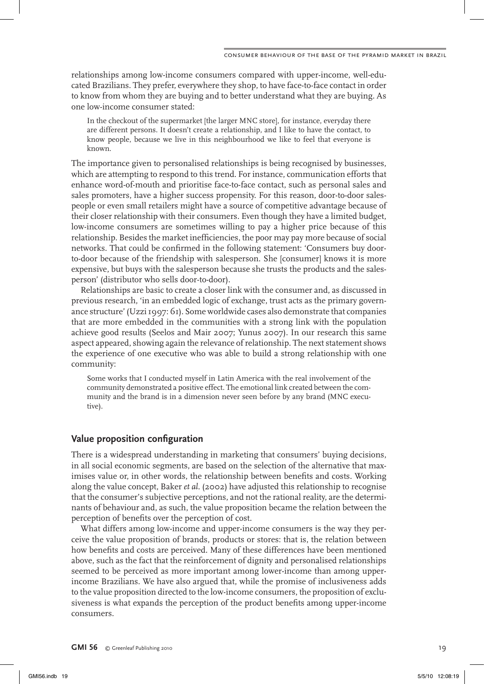relationships among low-income consumers compared with upper-income, well-educated Brazilians. They prefer, everywhere they shop, to have face-to-face contact in order to know from whom they are buying and to better understand what they are buying. As one low-income consumer stated:

In the checkout of the supermarket [the larger MNC store], for instance, everyday there are different persons. It doesn't create a relationship, and I like to have the contact, to know people, because we live in this neighbourhood we like to feel that everyone is known.

The importance given to personalised relationships is being recognised by businesses, which are attempting to respond to this trend. For instance, communication efforts that enhance word-of-mouth and prioritise face-to-face contact, such as personal sales and sales promoters, have a higher success propensity. For this reason, door-to-door salespeople or even small retailers might have a source of competitive advantage because of their closer relationship with their consumers. Even though they have a limited budget, low-income consumers are sometimes willing to pay a higher price because of this relationship. Besides the market inefficiencies, the poor may pay more because of social networks. That could be confirmed in the following statement: 'Consumers buy doorto-door because of the friendship with salesperson. She [consumer] knows it is more expensive, but buys with the salesperson because she trusts the products and the salesperson' (distributor who sells door-to-door).

Relationships are basic to create a closer link with the consumer and, as discussed in previous research, 'in an embedded logic of exchange, trust acts as the primary governance structure' (Uzzi 1997: 61). Some worldwide cases also demonstrate that companies that are more embedded in the communities with a strong link with the population achieve good results (Seelos and Mair 2007; Yunus 2007). In our research this same aspect appeared, showing again the relevance of relationship. The next statement shows the experience of one executive who was able to build a strong relationship with one community:

Some works that I conducted myself in Latin America with the real involvement of the community demonstrated a positive effect. The emotional link created between the community and the brand is in a dimension never seen before by any brand (MNC executive).

#### **Value proposition configuration**

There is a widespread understanding in marketing that consumers' buying decisions, in all social economic segments, are based on the selection of the alternative that maximises value or, in other words, the relationship between benefits and costs. Working along the value concept, Baker *et al*. (2002) have adjusted this relationship to recognise that the consumer's subjective perceptions, and not the rational reality, are the determinants of behaviour and, as such, the value proposition became the relation between the perception of benefits over the perception of cost.

What differs among low-income and upper-income consumers is the way they perceive the value proposition of brands, products or stores: that is, the relation between how benefits and costs are perceived. Many of these differences have been mentioned above, such as the fact that the reinforcement of dignity and personalised relationships seemed to be perceived as more important among lower-income than among upperincome Brazilians. We have also argued that, while the promise of inclusiveness adds to the value proposition directed to the low-income consumers, the proposition of exclusiveness is what expands the perception of the product benefits among upper-income consumers.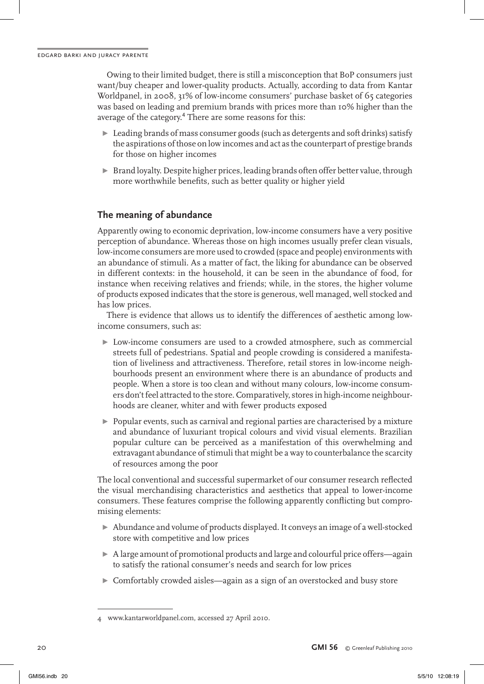Owing to their limited budget, there is still a misconception that BoP consumers just want/buy cheaper and lower-quality products. Actually, according to data from Kantar Worldpanel, in 2008, 31% of low-income consumers' purchase basket of 65 categories was based on leading and premium brands with prices more than 10% higher than the average of the category.<sup>4</sup> There are some reasons for this:

- $\triangleright$  Leading brands of mass consumer goods (such as detergents and soft drinks) satisfy the aspirations of those on low incomes and act as the counterpart of prestige brands for those on higher incomes
- $\triangleright$  Brand loyalty. Despite higher prices, leading brands often offer better value, through more worthwhile benefits, such as better quality or higher yield

## **The meaning of abundance**

Apparently owing to economic deprivation, low-income consumers have a very positive perception of abundance. Whereas those on high incomes usually prefer clean visuals, low-income consumers are more used to crowded (space and people) environments with an abundance of stimuli. As a matter of fact, the liking for abundance can be observed in different contexts: in the household, it can be seen in the abundance of food, for instance when receiving relatives and friends; while, in the stores, the higher volume of products exposed indicates that the store is generous, well managed, well stocked and has low prices.

There is evidence that allows us to identify the differences of aesthetic among lowincome consumers, such as:

- $\triangleright$  Low-income consumers are used to a crowded atmosphere, such as commercial streets full of pedestrians. Spatial and people crowding is considered a manifestation of liveliness and attractiveness. Therefore, retail stores in low-income neighbourhoods present an environment where there is an abundance of products and people. When a store is too clean and without many colours, low-income consumers don't feel attracted to the store. Comparatively, stores in high-income neighbourhoods are cleaner, whiter and with fewer products exposed
- $\blacktriangleright$  Popular events, such as carnival and regional parties are characterised by a mixture and abundance of luxuriant tropical colours and vivid visual elements. Brazilian popular culture can be perceived as a manifestation of this overwhelming and extravagant abundance of stimuli that might be a way to counterbalance the scarcity of resources among the poor

The local conventional and successful supermarket of our consumer research reflected the visual merchandising characteristics and aesthetics that appeal to lower-income consumers. These features comprise the following apparently conflicting but compromising elements:

- $\blacktriangleright$  Abundance and volume of products displayed. It conveys an image of a well-stocked store with competitive and low prices
- $\blacktriangleright$  A large amount of promotional products and large and colourful price offers—again to satisfy the rational consumer's needs and search for low prices
- Comfortably crowded aisles—again as a sign of an overstocked and busy store

<sup>4</sup> www.kantarworldpanel.com, accessed 27 April 2010.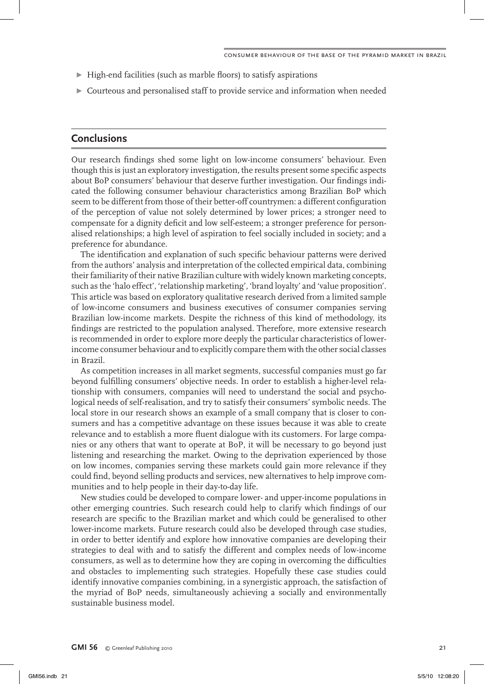- $\blacktriangleright$  High-end facilities (such as marble floors) to satisfy aspirations
- $\triangleright$  Courteous and personalised staff to provide service and information when needed

#### **Conclusions**

Our research findings shed some light on low-income consumers' behaviour. Even though this is just an exploratory investigation, the results present some specific aspects about BoP consumers' behaviour that deserve further investigation. Our findings indicated the following consumer behaviour characteristics among Brazilian BoP which seem to be different from those of their better-off countrymen: a different configuration of the perception of value not solely determined by lower prices; a stronger need to compensate for a dignity deficit and low self-esteem; a stronger preference for personalised relationships; a high level of aspiration to feel socially included in society; and a preference for abundance.

The identification and explanation of such specific behaviour patterns were derived from the authors' analysis and interpretation of the collected empirical data, combining their familiarity of their native Brazilian culture with widely known marketing concepts, such as the 'halo effect', 'relationship marketing', 'brand loyalty' and 'value proposition'. This article was based on exploratory qualitative research derived from a limited sample of low-income consumers and business executives of consumer companies serving Brazilian low-income markets. Despite the richness of this kind of methodology, its findings are restricted to the population analysed. Therefore, more extensive research is recommended in order to explore more deeply the particular characteristics of lowerincome consumer behaviour and to explicitly compare them with the other social classes in Brazil.

As competition increases in all market segments, successful companies must go far beyond fulfilling consumers' objective needs. In order to establish a higher-level relationship with consumers, companies will need to understand the social and psychological needs of self-realisation, and try to satisfy their consumers' symbolic needs. The local store in our research shows an example of a small company that is closer to consumers and has a competitive advantage on these issues because it was able to create relevance and to establish a more fluent dialogue with its customers. For large companies or any others that want to operate at BoP, it will be necessary to go beyond just listening and researching the market. Owing to the deprivation experienced by those on low incomes, companies serving these markets could gain more relevance if they could find, beyond selling products and services, new alternatives to help improve communities and to help people in their day-to-day life.

New studies could be developed to compare lower- and upper-income populations in other emerging countries. Such research could help to clarify which findings of our research are specific to the Brazilian market and which could be generalised to other lower-income markets. Future research could also be developed through case studies, in order to better identify and explore how innovative companies are developing their strategies to deal with and to satisfy the different and complex needs of low-income consumers, as well as to determine how they are coping in overcoming the difficulties and obstacles to implementing such strategies. Hopefully these case studies could identify innovative companies combining, in a synergistic approach, the satisfaction of the myriad of BoP needs, simultaneously achieving a socially and environmentally sustainable business model.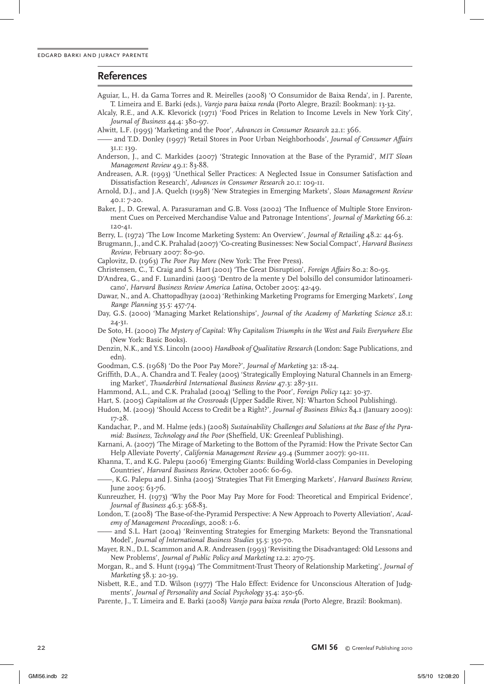#### **References**

Aguiar, L., H. da Gama Torres and R. Meirelles (2008) 'O Consumidor de Baixa Renda', in J. Parente, T. Limeira and E. Barki (eds.), *Varejo para baixa renda* (Porto Alegre, Brazil: Bookman): 13-32.

Alcaly, R.E., and A.K. Klevorick (1971) 'Food Prices in Relation to Income Levels in New York City', *Journal of Business* 44.4: 380-97.

- Alwitt, L.F. (1995) 'Marketing and the Poor', *Advances in Consumer Research* 22.1: 366.
- —— and T.D. Donley (1997) 'Retail Stores in Poor Urban Neighborhoods', *Journal of Consumer Affairs* 31.1: 139.
- Anderson, J., and C. Markides (2007) 'Strategic Innovation at the Base of the Pyramid', *MIT Sloan Management Review* 49.1: 83-88.
- Andreasen, A.R. (1993) 'Unethical Seller Practices: A Neglected Issue in Consumer Satisfaction and Dissatisfaction Research', *Advances in Consumer Research* 20.1: 109-11.
- Arnold, D.J., and J.A. Quelch (1998) 'New Strategies in Emerging Markets', *Sloan Management Review* 40.1: 7-20.
- Baker, J., D. Grewal, A. Parasuraman and G.B. Voss (2002) 'The Influence of Multiple Store Environment Cues on Perceived Merchandise Value and Patronage Intentions', *Journal of Marketing* 66.2: 120-41.
- Berry, L. (1972) 'The Low Income Marketing System: An Overview', *Journal of Retailing* 48.2: 44-63.
- Brugmann, J., and C.K. Prahalad (2007) 'Co-creating Businesses: New Social Compact', *Harvard Business Review*, February 2007: 80-90.
- Caplovitz, D. (1963) *The Poor Pay More* (New York: The Free Press).
- Christensen, C., T. Craig and S. Hart (2001) 'The Great Disruption', *Foreign Affairs* 80.2: 80-95.
- D'Andrea, G., and F. Lunardini (2005) 'Dentro de la mente y Del bolsillo del consumidor latinoamericano', *Harvard Business Review America Latina*, October 2005: 42-49.
- Dawar, N., and A. Chattopadhyay (2002) 'Rethinking Marketing Programs for Emerging Markets', *Long Range Planning* 35.5: 457-74.
- Day, G.S. (2000) 'Managing Market Relationships', *Journal of the Academy of Marketing Science* 28.1: 24-31.
- De Soto, H. (2000) *The Mystery of Capital: Why Capitalism Triumphs in the West and Fails Everywhere Else*  (New York: Basic Books).
- Denzin, N.K., and Y.S. Lincoln (2000) *Handbook of Qualitative Research* (London: Sage Publications, 2nd edn).
- Goodman, C.S. (1968) 'Do the Poor Pay More?', *Journal of Marketing* 32: 18-24.
- Griffith, D.A., A. Chandra and T. Fealey (2005) 'Strategically Employing Natural Channels in an Emerging Market', *Thunderbird International Business Review* 47.3: 287-311.
- Hammond, A.L., and C.K. Prahalad (2004) 'Selling to the Poor', *Foreign Policy* 142: 30-37.
- Hart, S. (2005) *Capitalism at the Crossroads* (Upper Saddle River, NJ: Wharton School Publishing).
- Hudon, M. (2009) 'Should Access to Credit be a Right?', *Journal of Business Ethics* 84.1 (January 2009): 17-28.
- Kandachar, P., and M. Halme (eds.) (2008) *Sustainability Challenges and Solutions at the Base of the Pyramid: Business, Technology and the Poor* (Sheffield, UK: Greenleaf Publishing).
- Karnani, A. (2007) 'The Mirage of Marketing to the Bottom of the Pyramid: How the Private Sector Can Help Alleviate Poverty', *California Management Review* 49.4 (Summer 2007): 90-111.
- Khanna, T., and K.G. Palepu (2006) 'Emerging Giants: Building World-class Companies in Developing Countries', *Harvard Business Review*, October 2006: 60-69.
- ——, K.G. Palepu and J. Sinha (2005) 'Strategies That Fit Emerging Markets', *Harvard Business Review,*  June 2005: 63-76.
- Kunreuzher, H. (1973) 'Why the Poor May Pay More for Food: Theoretical and Empirical Evidence', *Journal of Business* 46.3: 368-83.
- London, T. (2008) 'The Base-of-the-Pyramid Perspective: A New Approach to Poverty Alleviation', *Academy of Management Proceedings*, 2008: 1-6.

—— and S.L. Hart (2004) 'Reinventing Strategies for Emerging Markets: Beyond the Transnational Model', *Journal of International Business Studies* 35.5: 350-70.

- Mayer, R.N., D.L. Scammon and A.R. Andreasen (1993) 'Revisiting the Disadvantaged: Old Lessons and New Problems', *Journal of Public Policy and Marketing* 12.2: 270-75.
- Morgan, R., and S. Hunt (1994) 'The Commitment-Trust Theory of Relationship Marketing', *Journal of Marketing* 58.3: 20-39.
- Nisbett, R.E., and T.D. Wilson (1977) 'The Halo Effect: Evidence for Unconscious Alteration of Judgments', *Journal of Personality and Social Psychology* 35.4: 250-56.
- Parente, J., T. Limeira and E. Barki (2008) *Varejo para baixa renda* (Porto Alegre, Brazil: Bookman).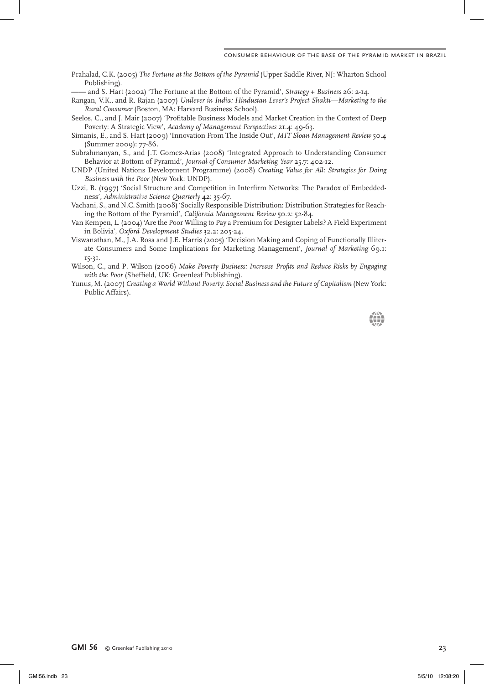Prahalad, C.K. (2005) *The Fortune at the Bottom of the Pyramid* (Upper Saddle River, NJ: Wharton School Publishing).

—— and S. Hart (2002) 'The Fortune at the Bottom of the Pyramid', *Strategy + Business* 26: 2-14.

- Rangan, V.K., and R. Rajan (2007) *Unilever in India: Hindustan Lever's Project Shakti—Marketing to the Rural Consumer* (Boston, MA: Harvard Business School).
- Seelos, C., and J. Mair (2007) 'Profitable Business Models and Market Creation in the Context of Deep Poverty: A Strategic View', *Academy of Management Perspectives* 21.4: 49-63.
- Simanis, E., and S. Hart (2009) 'Innovation From The Inside Out', *MIT Sloan Management Review* 50.4 (Summer 2009): 77-86.
- Subrahmanyan, S., and J.T. Gomez-Arias (2008) 'Integrated Approach to Understanding Consumer Behavior at Bottom of Pyramid', *Journal of Consumer Marketing Year* 25.7: 402-12.
- UNDP (United Nations Development Programme) (2008) *Creating Value for All: Strategies for Doing Business with the Poor* (New York: UNDP).
- Uzzi, B. (1997) 'Social Structure and Competition in Interfirm Networks: The Paradox of Embeddedness', *Administrative Science Quarterly* 42: 35-67.
- Vachani, S., and N.C. Smith (2008) 'Socially Responsible Distribution: Distribution Strategies for Reaching the Bottom of the Pyramid', *California Management Review* 50.2: 52-84.
- Van Kempen, L. (2004) 'Are the Poor Willing to Pay a Premium for Designer Labels? A Field Experiment in Bolivia', *Oxford Development Studies* 32.2: 205-24.
- Viswanathan, M., J.A. Rosa and J.E. Harris (2005) 'Decision Making and Coping of Functionally Illiterate Consumers and Some Implications for Marketing Management', *Journal of Marketing* 69.1: 15-31.
- Wilson, C., and P. Wilson (2006) *Make Poverty Business: Increase Profits and Reduce Risks by Engaging with the Poor* (Sheffield, UK: Greenleaf Publishing).
- Yunus, M. (2007) *Creating a World Without Poverty: Social Business and the Future of Capitalism* (New York: Public Affairs).

 $\bigoplus_{n=1}^{\infty}$